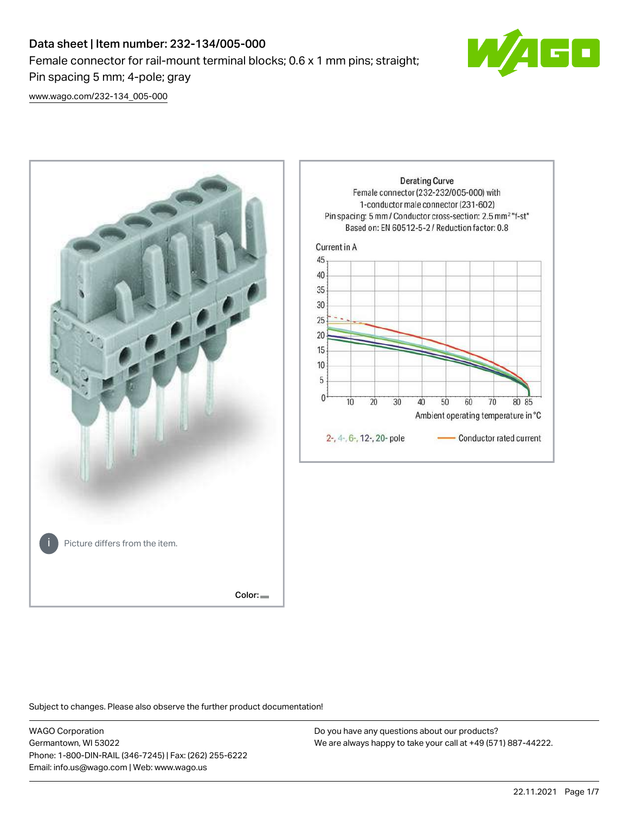# Data sheet | Item number: 232-134/005-000 Female connector for rail-mount terminal blocks; 0.6 x 1 mm pins; straight; Pin spacing 5 mm; 4-pole; gray



[www.wago.com/232-134\\_005-000](http://www.wago.com/232-134_005-000)



Subject to changes. Please also observe the further product documentation!

WAGO Corporation Germantown, WI 53022 Phone: 1-800-DIN-RAIL (346-7245) | Fax: (262) 255-6222 Email: info.us@wago.com | Web: www.wago.us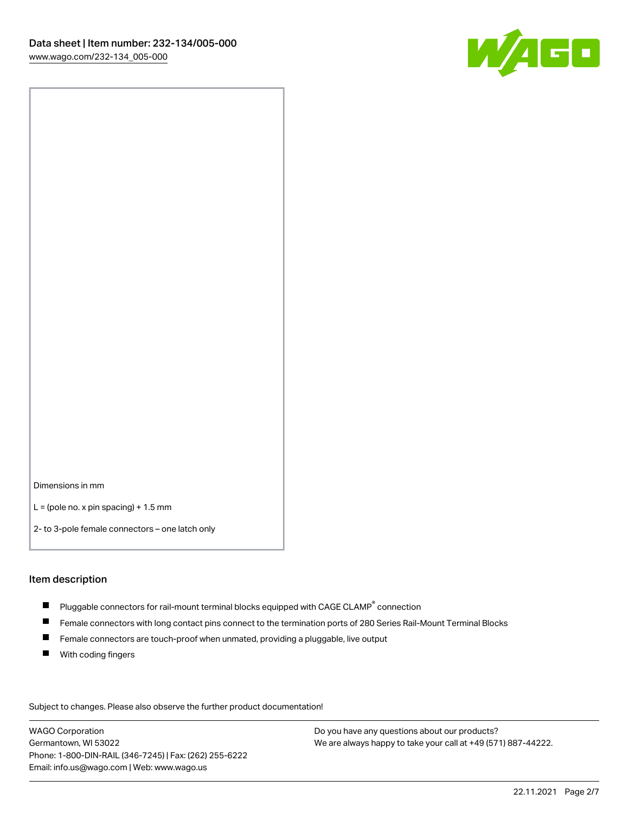

Dimensions in mm

 $L =$  (pole no. x pin spacing) + 1.5 mm

2- to 3-pole female connectors – one latch only

#### Item description

- $\blacksquare$  Pluggable connectors for rail-mount terminal blocks equipped with CAGE CLAMP $^\circ$  connection
- Female connectors with long contact pins connect to the termination ports of 280 Series Rail-Mount Terminal Blocks
- $\blacksquare$ Female connectors are touch-proof when unmated, providing a pluggable, live output
- $\blacksquare$ With coding fingers

Subject to changes. Please also observe the further product documentation! Data

WAGO Corporation Germantown, WI 53022 Phone: 1-800-DIN-RAIL (346-7245) | Fax: (262) 255-6222 Email: info.us@wago.com | Web: www.wago.us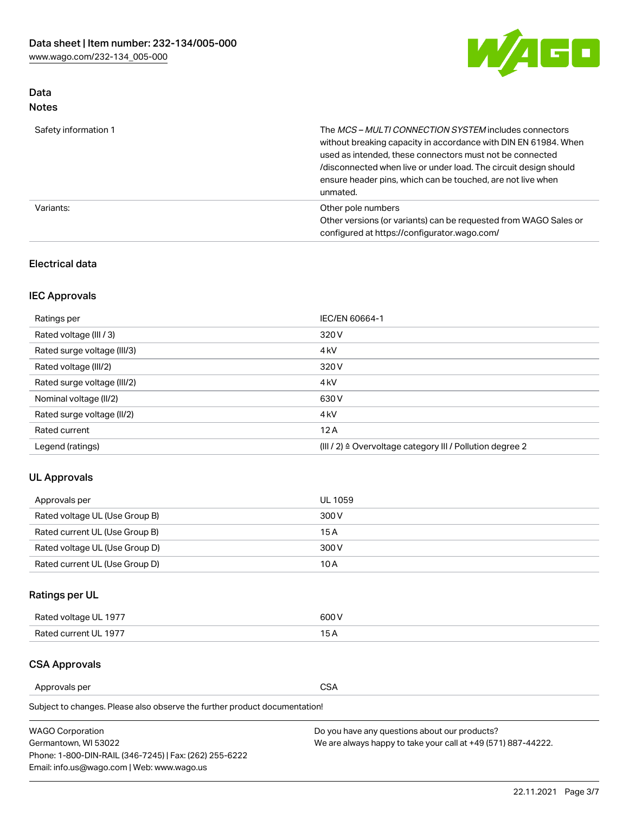

# Data Notes

| Safety information 1 | The <i>MCS – MULTI CONNECTION SYSTEM</i> includes connectors<br>without breaking capacity in accordance with DIN EN 61984. When<br>used as intended, these connectors must not be connected<br>/disconnected when live or under load. The circuit design should<br>ensure header pins, which can be touched, are not live when<br>unmated. |
|----------------------|--------------------------------------------------------------------------------------------------------------------------------------------------------------------------------------------------------------------------------------------------------------------------------------------------------------------------------------------|
| Variants:            | Other pole numbers<br>Other versions (or variants) can be requested from WAGO Sales or<br>configured at https://configurator.wago.com/                                                                                                                                                                                                     |

## Electrical data

# IEC Approvals

| Ratings per                 | IEC/EN 60664-1                                                        |
|-----------------------------|-----------------------------------------------------------------------|
| Rated voltage (III / 3)     | 320 V                                                                 |
| Rated surge voltage (III/3) | 4 <sub>k</sub> V                                                      |
| Rated voltage (III/2)       | 320 V                                                                 |
| Rated surge voltage (III/2) | 4 <sub>k</sub> V                                                      |
| Nominal voltage (II/2)      | 630 V                                                                 |
| Rated surge voltage (II/2)  | 4 <sub>k</sub> V                                                      |
| Rated current               | 12A                                                                   |
| Legend (ratings)            | $(III / 2)$ $\triangle$ Overvoltage category III / Pollution degree 2 |

## UL Approvals

| Approvals per                  | UL 1059 |
|--------------------------------|---------|
| Rated voltage UL (Use Group B) | 300 V   |
| Rated current UL (Use Group B) | 15 A    |
| Rated voltage UL (Use Group D) | 300 V   |
| Rated current UL (Use Group D) | 10 A    |

# Ratings per UL

| Rated voltage UL 1977 | 300 V |
|-----------------------|-------|
| Rated current UL 1977 |       |

### CSA Approvals

Approvals per CSA

Subject to changes. Please also observe the further product documentation!

| <b>WAGO Corporation</b>                                | Do you have any questions about our products?                 |
|--------------------------------------------------------|---------------------------------------------------------------|
| Germantown, WI 53022                                   | We are always happy to take your call at +49 (571) 887-44222. |
| Phone: 1-800-DIN-RAIL (346-7245)   Fax: (262) 255-6222 |                                                               |
| Email: info.us@wago.com   Web: www.wago.us             |                                                               |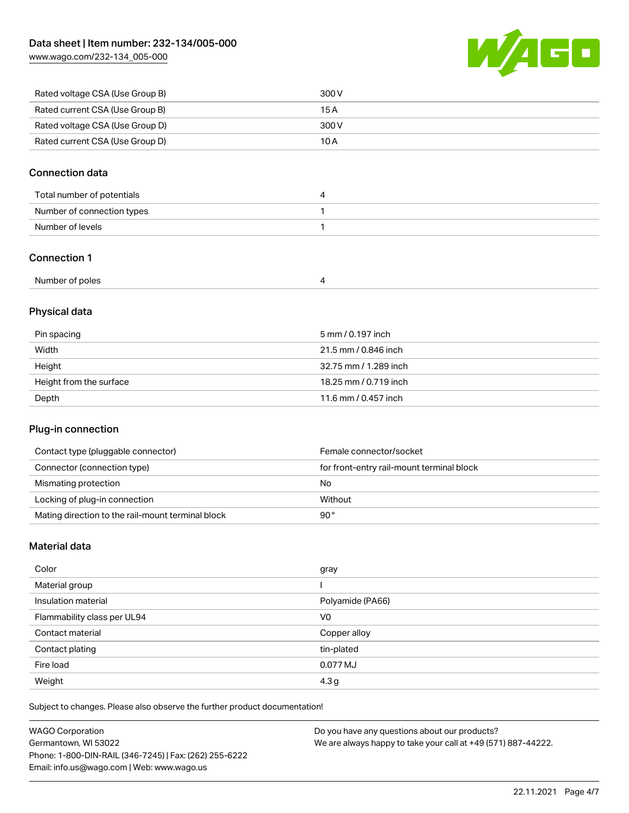[www.wago.com/232-134\\_005-000](http://www.wago.com/232-134_005-000)



| Rated voltage CSA (Use Group B) | 300 V |
|---------------------------------|-------|
| Rated current CSA (Use Group B) | 15 A  |
| Rated voltage CSA (Use Group D) | 300 V |
| Rated current CSA (Use Group D) | 10 A  |

## Connection data

| Total number of potentials |  |
|----------------------------|--|
| Number of connection types |  |
| Number of levels           |  |

# Connection 1

| Number of poles |  |
|-----------------|--|
|-----------------|--|

# Physical data

| Pin spacing             | 5 mm / 0.197 inch     |
|-------------------------|-----------------------|
| Width                   | 21.5 mm / 0.846 inch  |
| Height                  | 32.75 mm / 1.289 inch |
| Height from the surface | 18.25 mm / 0.719 inch |
| Depth                   | 11.6 mm / 0.457 inch  |

# Plug-in connection

| Contact type (pluggable connector)                | Female connector/socket                   |
|---------------------------------------------------|-------------------------------------------|
| Connector (connection type)                       | for front-entry rail-mount terminal block |
| Mismating protection                              | No                                        |
| Locking of plug-in connection                     | Without                                   |
| Mating direction to the rail-mount terminal block | 90°                                       |

## Material data

| Color                       | gray             |
|-----------------------------|------------------|
| Material group              |                  |
| Insulation material         | Polyamide (PA66) |
| Flammability class per UL94 | V <sub>0</sub>   |
| Contact material            | Copper alloy     |
| Contact plating             | tin-plated       |
| Fire load                   | 0.077 MJ         |
| Weight                      | 4.3 <sub>g</sub> |

Subject to changes. Please also observe the further product documentation!

| <b>WAGO Corporation</b>                                | Do you have any questions about our products?                 |
|--------------------------------------------------------|---------------------------------------------------------------|
| Germantown, WI 53022                                   | We are always happy to take your call at +49 (571) 887-44222. |
| Phone: 1-800-DIN-RAIL (346-7245)   Fax: (262) 255-6222 |                                                               |
| Email: info.us@wago.com   Web: www.wago.us             |                                                               |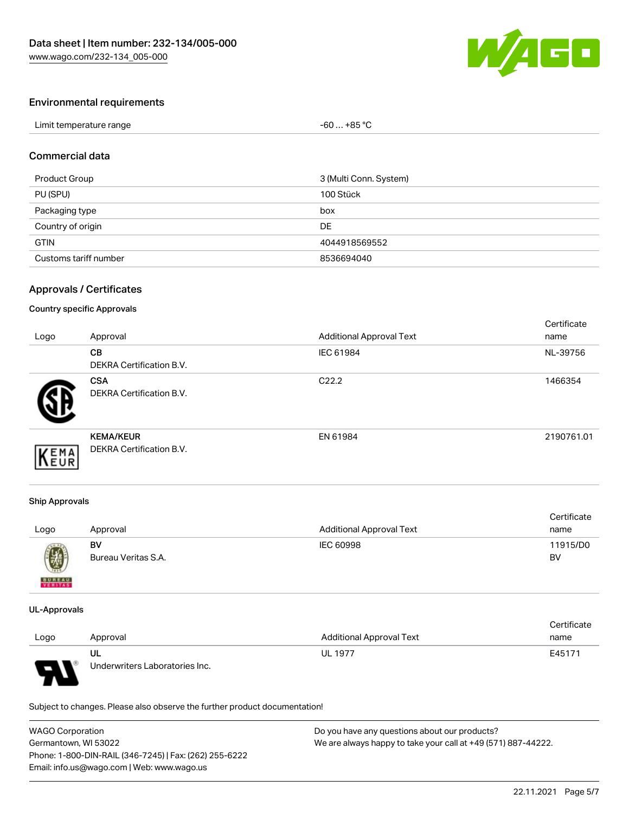

## Environmental requirements

| Limit temperature range | $-60+85 °C$ |  |
|-------------------------|-------------|--|
|-------------------------|-------------|--|

#### Commercial data

| Product Group         | 3 (Multi Conn. System) |
|-----------------------|------------------------|
| PU (SPU)              | 100 Stück              |
| Packaging type        | box                    |
| Country of origin     | DE                     |
| <b>GTIN</b>           | 4044918569552          |
| Customs tariff number | 8536694040             |

## Approvals / Certificates

#### Country specific Approvals

| Logo | Approval                                            | <b>Additional Approval Text</b> | Certificate<br>name |
|------|-----------------------------------------------------|---------------------------------|---------------------|
|      | <b>CB</b><br><b>DEKRA Certification B.V.</b>        | IEC 61984                       | NL-39756            |
|      | <b>CSA</b><br>DEKRA Certification B.V.              | C <sub>22.2</sub>               | 1466354             |
| EMA  | <b>KEMA/KEUR</b><br><b>DEKRA Certification B.V.</b> | EN 61984                        | 2190761.01          |

#### Ship Approvals

| Logo          | Approval            | <b>Additional Approval Text</b> | Certificate<br>name |
|---------------|---------------------|---------------------------------|---------------------|
| U             | BV                  | IEC 60998                       | 11915/D0            |
| <b>BUREAU</b> | Bureau Veritas S.A. |                                 | BV                  |

#### UL-Approvals

|      |                                |                                 | Certificate |
|------|--------------------------------|---------------------------------|-------------|
| Logo | Approval                       | <b>Additional Approval Text</b> | name        |
|      | UL                             | <b>UL 1977</b>                  | E45171      |
| J    | Underwriters Laboratories Inc. |                                 |             |

Subject to changes. Please also observe the further product documentation!

| <b>WAGO Corporation</b>                                | Do you have any questions about our products?                 |
|--------------------------------------------------------|---------------------------------------------------------------|
| Germantown, WI 53022                                   | We are always happy to take your call at +49 (571) 887-44222. |
| Phone: 1-800-DIN-RAIL (346-7245)   Fax: (262) 255-6222 |                                                               |
| Email: info.us@wago.com   Web: www.wago.us             |                                                               |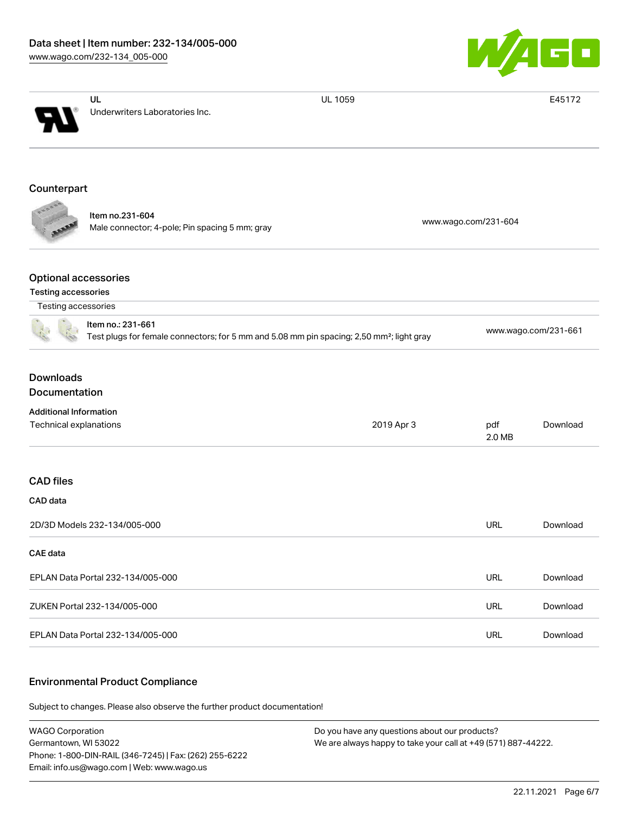

|                                                   | UL                                                                                                                         | UL 1059              |               | E45172               |
|---------------------------------------------------|----------------------------------------------------------------------------------------------------------------------------|----------------------|---------------|----------------------|
|                                                   | Underwriters Laboratories Inc.                                                                                             |                      |               |                      |
|                                                   |                                                                                                                            |                      |               |                      |
| Counterpart                                       |                                                                                                                            |                      |               |                      |
|                                                   | Item no.231-604<br>Male connector; 4-pole; Pin spacing 5 mm; gray                                                          | www.wago.com/231-604 |               |                      |
| <b>Optional accessories</b>                       |                                                                                                                            |                      |               |                      |
| <b>Testing accessories</b><br>Testing accessories |                                                                                                                            |                      |               |                      |
|                                                   | Item no.: 231-661<br>Test plugs for female connectors; for 5 mm and 5.08 mm pin spacing; 2,50 mm <sup>2</sup> ; light gray |                      |               | www.wago.com/231-661 |
| <b>Downloads</b><br>Documentation                 |                                                                                                                            |                      |               |                      |
| <b>Additional Information</b>                     |                                                                                                                            |                      |               |                      |
| Technical explanations                            |                                                                                                                            | 2019 Apr 3           | pdf<br>2.0 MB | Download             |
| <b>CAD</b> files                                  |                                                                                                                            |                      |               |                      |
| CAD data                                          |                                                                                                                            |                      |               |                      |
|                                                   | 2D/3D Models 232-134/005-000                                                                                               |                      | <b>URL</b>    | Download             |
| CAE data                                          |                                                                                                                            |                      |               |                      |
|                                                   | EPLAN Data Portal 232-134/005-000                                                                                          |                      | <b>URL</b>    | Download             |
|                                                   | ZUKEN Portal 232-134/005-000                                                                                               |                      | <b>URL</b>    | Download             |
|                                                   | EPLAN Data Portal 232-134/005-000                                                                                          |                      | <b>URL</b>    | Download             |

#### Environmental Product Compliance

Subject to changes. Please also observe the further product documentation!

WAGO Corporation Germantown, WI 53022 Phone: 1-800-DIN-RAIL (346-7245) | Fax: (262) 255-6222 Email: info.us@wago.com | Web: www.wago.us